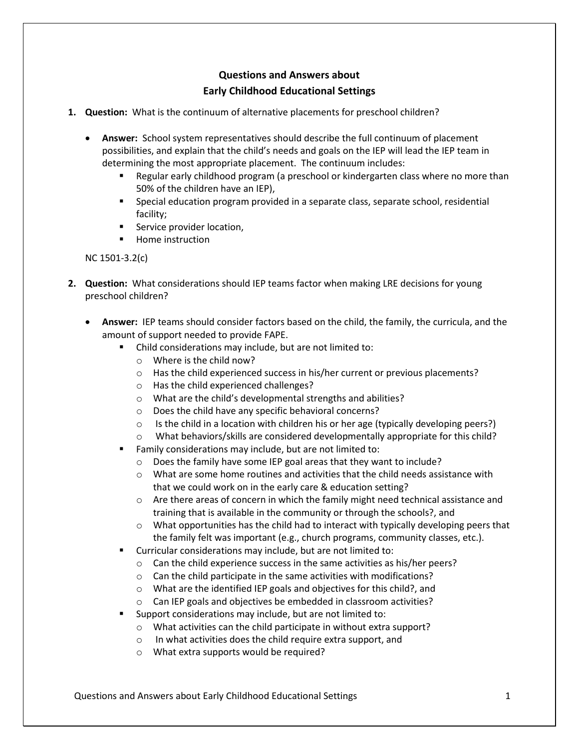## **Questions and Answers about Early Childhood Educational Settings**

- **1. Question:** What is the continuum of alternative placements for preschool children?
	- **Answer:** School system representatives should describe the full continuum of placement possibilities, and explain that the child's needs and goals on the IEP will lead the IEP team in determining the most appropriate placement. The continuum includes:
		- **EXECT** Regular early childhood program (a preschool or kindergarten class where no more than 50% of the children have an IEP),
		- **Special education program provided in a separate class, separate school, residential** facility;
		- Service provider location,
		- **Home instruction**

## NC 1501-3.2(c)

- **2. Question:** What considerations should IEP teams factor when making LRE decisions for young preschool children?
	- **Answer:** IEP teams should consider factors based on the child, the family, the curricula, and the amount of support needed to provide FAPE.
		- Child considerations may include, but are not limited to:
			- o Where is the child now?
			- o Has the child experienced success in his/her current or previous placements?
			- o Has the child experienced challenges?
			- o What are the child's developmental strengths and abilities?
			- o Does the child have any specific behavioral concerns?
			- $\circ$  Is the child in a location with children his or her age (typically developing peers?)
			- What behaviors/skills are considered developmentally appropriate for this child?
		- Family considerations may include, but are not limited to:
			- o Does the family have some IEP goal areas that they want to include?
			- $\circ$  What are some home routines and activities that the child needs assistance with that we could work on in the early care & education setting?
			- o Are there areas of concern in which the family might need technical assistance and training that is available in the community or through the schools?, and
			- $\circ$  What opportunities has the child had to interact with typically developing peers that the family felt was important (e.g., church programs, community classes, etc.).
		- Curricular considerations may include, but are not limited to:
			- o Can the child experience success in the same activities as his/her peers?
			- o Can the child participate in the same activities with modifications?
			- o What are the identified IEP goals and objectives for this child?, and
			- o Can IEP goals and objectives be embedded in classroom activities?
		- Support considerations may include, but are not limited to:
			- o What activities can the child participate in without extra support?
			- o In what activities does the child require extra support, and
			- o What extra supports would be required?

Questions and Answers about Early Childhood Educational Settings 1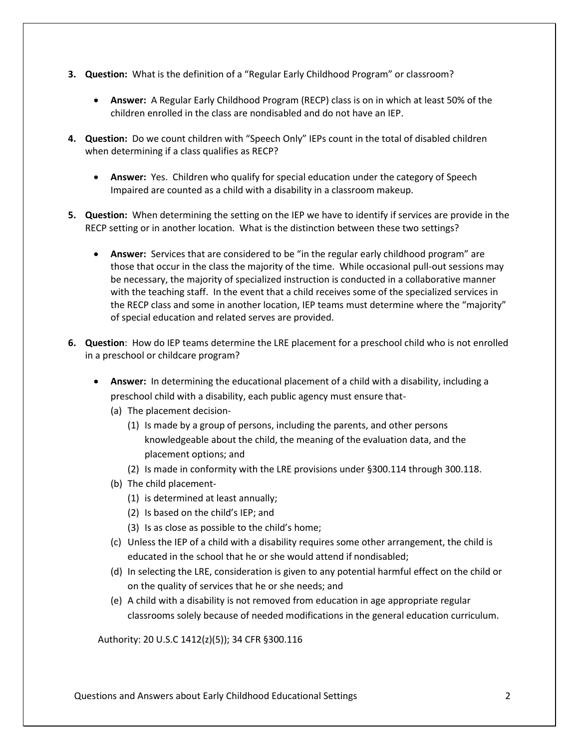- **3. Question:** What is the definition of a "Regular Early Childhood Program" or classroom?
	- **Answer:** A Regular Early Childhood Program (RECP) class is on in which at least 50% of the children enrolled in the class are nondisabled and do not have an IEP.
- **4. Question:** Do we count children with "Speech Only" IEPs count in the total of disabled children when determining if a class qualifies as RECP?
	- **Answer:** Yes. Children who qualify for special education under the category of Speech Impaired are counted as a child with a disability in a classroom makeup.
- **5. Question:** When determining the setting on the IEP we have to identify if services are provide in the RECP setting or in another location. What is the distinction between these two settings?
	- **Answer:** Services that are considered to be "in the regular early childhood program" are those that occur in the class the majority of the time. While occasional pull-out sessions may be necessary, the majority of specialized instruction is conducted in a collaborative manner with the teaching staff. In the event that a child receives some of the specialized services in the RECP class and some in another location, IEP teams must determine where the "majority" of special education and related serves are provided.
- **6. Question**: How do IEP teams determine the LRE placement for a preschool child who is not enrolled in a preschool or childcare program?
	- **Answer:** In determining the educational placement of a child with a disability, including a preschool child with a disability, each public agency must ensure that-
		- (a) The placement decision-
			- (1) Is made by a group of persons, including the parents, and other persons knowledgeable about the child, the meaning of the evaluation data, and the placement options; and
			- (2) Is made in conformity with the LRE provisions under §300.114 through 300.118.
		- (b) The child placement-
			- (1) is determined at least annually;
			- (2) Is based on the child's IEP; and
			- (3) Is as close as possible to the child's home;
		- (c) Unless the IEP of a child with a disability requires some other arrangement, the child is educated in the school that he or she would attend if nondisabled;
		- (d) In selecting the LRE, consideration is given to any potential harmful effect on the child or on the quality of services that he or she needs; and
		- (e) A child with a disability is not removed from education in age appropriate regular classrooms solely because of needed modifications in the general education curriculum.

Authority: 20 U.S.C 1412(z)(5)); 34 CFR §300.116